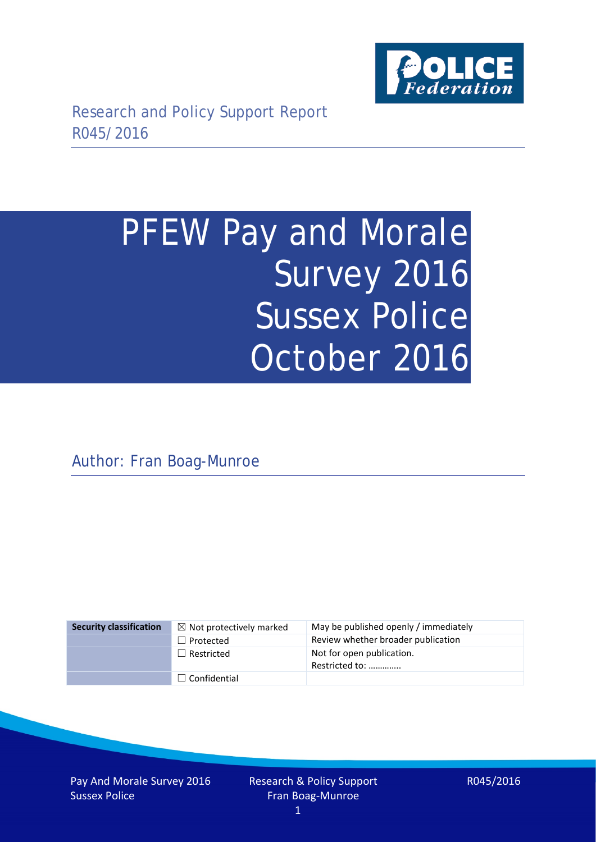

# PFEW Pay and Morale Survey 2016 Sussex Police October 2016

Author: Fran Boag-Munroe

| <b>Security classification</b> | $\boxtimes$ Not protectively marked | May be published openly / immediately       |
|--------------------------------|-------------------------------------|---------------------------------------------|
|                                | $\Box$ Protected                    | Review whether broader publication          |
|                                | $\Box$ Restricted                   | Not for open publication.<br>Restricted to: |
|                                | $\Box$ Confidential                 |                                             |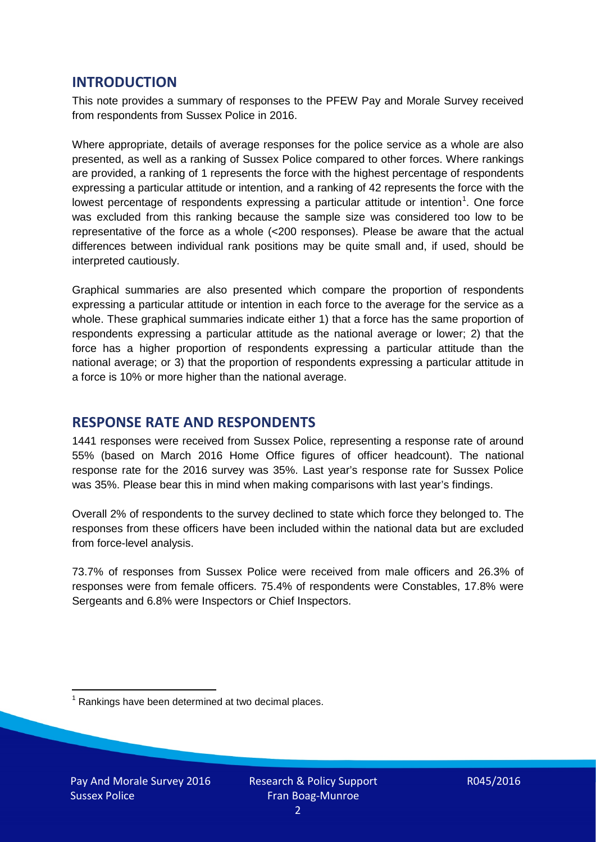### **INTRODUCTION**

This note provides a summary of responses to the PFEW Pay and Morale Survey received from respondents from Sussex Police in 2016.

Where appropriate, details of average responses for the police service as a whole are also presented, as well as a ranking of Sussex Police compared to other forces. Where rankings are provided, a ranking of 1 represents the force with the highest percentage of respondents expressing a particular attitude or intention, and a ranking of 42 represents the force with the lowest percentage of respondents expressing a particular attitude or intention<sup>[1](#page-1-0)</sup>. One force was excluded from this ranking because the sample size was considered too low to be representative of the force as a whole (<200 responses). Please be aware that the actual differences between individual rank positions may be quite small and, if used, should be interpreted cautiously.

Graphical summaries are also presented which compare the proportion of respondents expressing a particular attitude or intention in each force to the average for the service as a whole. These graphical summaries indicate either 1) that a force has the same proportion of respondents expressing a particular attitude as the national average or lower; 2) that the force has a higher proportion of respondents expressing a particular attitude than the national average; or 3) that the proportion of respondents expressing a particular attitude in a force is 10% or more higher than the national average.

# **RESPONSE RATE AND RESPONDENTS**

1441 responses were received from Sussex Police, representing a response rate of around 55% (based on March 2016 Home Office figures of officer headcount). The national response rate for the 2016 survey was 35%. Last year's response rate for Sussex Police was 35%. Please bear this in mind when making comparisons with last year's findings.

Overall 2% of respondents to the survey declined to state which force they belonged to. The responses from these officers have been included within the national data but are excluded from force-level analysis.

73.7% of responses from Sussex Police were received from male officers and 26.3% of responses were from female officers. 75.4% of respondents were Constables, 17.8% were Sergeants and 6.8% were Inspectors or Chief Inspectors.

<span id="page-1-0"></span> $1$  Rankings have been determined at two decimal places.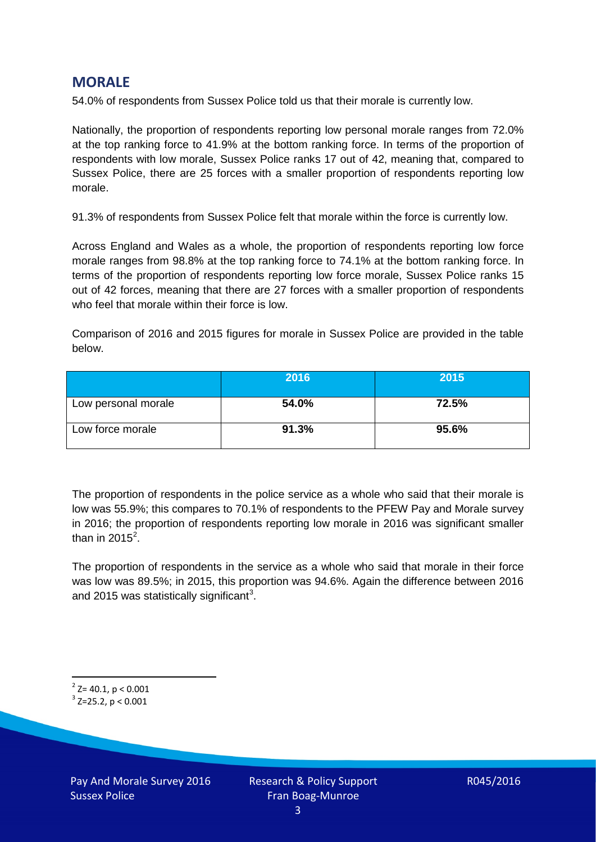# **MORALE**

54.0% of respondents from Sussex Police told us that their morale is currently low.

Nationally, the proportion of respondents reporting low personal morale ranges from 72.0% at the top ranking force to 41.9% at the bottom ranking force. In terms of the proportion of respondents with low morale, Sussex Police ranks 17 out of 42, meaning that, compared to Sussex Police, there are 25 forces with a smaller proportion of respondents reporting low morale.

91.3% of respondents from Sussex Police felt that morale within the force is currently low.

Across England and Wales as a whole, the proportion of respondents reporting low force morale ranges from 98.8% at the top ranking force to 74.1% at the bottom ranking force. In terms of the proportion of respondents reporting low force morale, Sussex Police ranks 15 out of 42 forces, meaning that there are 27 forces with a smaller proportion of respondents who feel that morale within their force is low.

Comparison of 2016 and 2015 figures for morale in Sussex Police are provided in the table below.

|                     | 2016  | 2015  |
|---------------------|-------|-------|
| Low personal morale | 54.0% | 72.5% |
| Low force morale    | 91.3% | 95.6% |

The proportion of respondents in the police service as a whole who said that their morale is low was 55.9%; this compares to 70.1% of respondents to the PFEW Pay and Morale survey in 2016; the proportion of respondents reporting low morale in 2016 was significant smaller than in [2](#page-2-0)015 $^2$ .

The proportion of respondents in the service as a whole who said that morale in their force was low was 89.5%; in 2015, this proportion was 94.6%. Again the difference between 2016 and 2015 was statistically significant<sup>[3](#page-2-1)</sup>.

<span id="page-2-0"></span> $2$ <sup>2</sup> Z= 40.1, p < 0.001

<span id="page-2-1"></span> $3$  Z=25.2, p < 0.001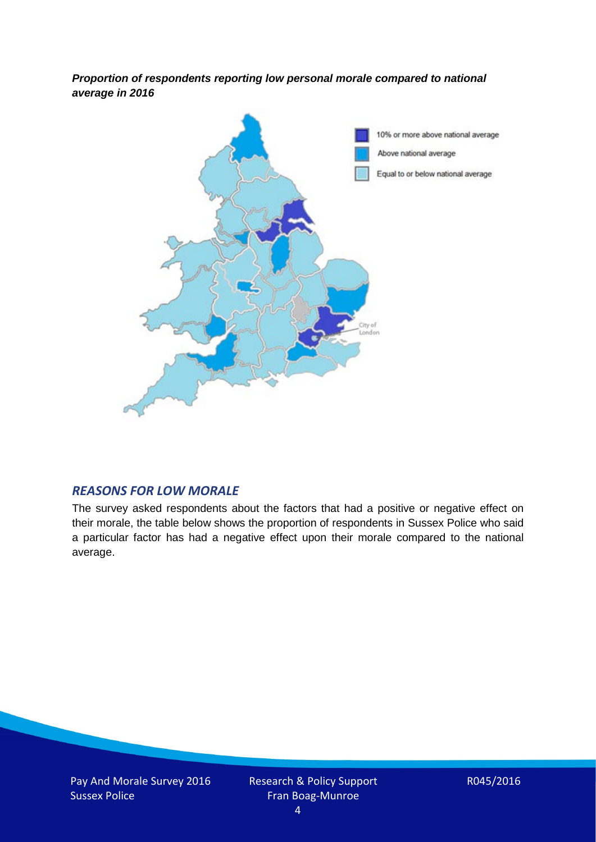*Proportion of respondents reporting low personal morale compared to national average in 2016*



#### *REASONS FOR LOW MORALE*

The survey asked respondents about the factors that had a positive or negative effect on their morale, the table below shows the proportion of respondents in Sussex Police who said a particular factor has had a negative effect upon their morale compared to the national average.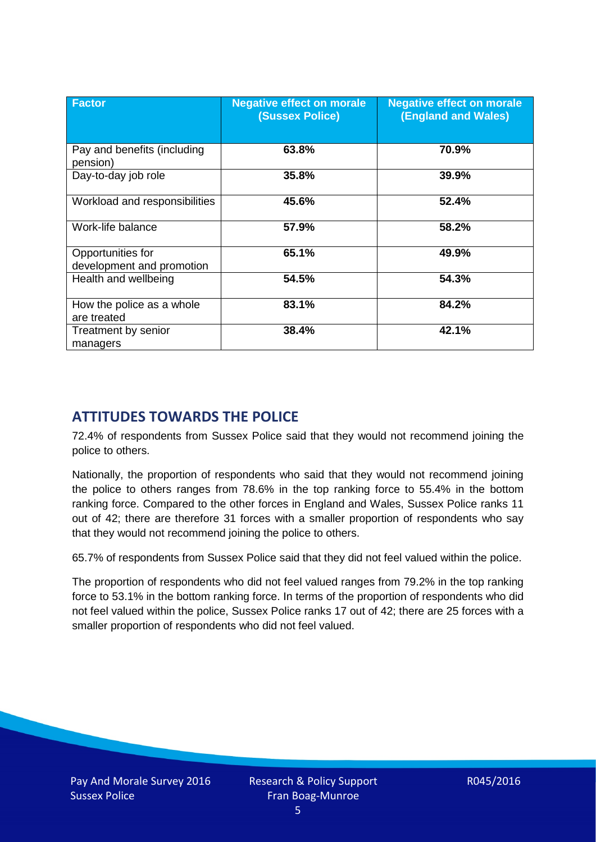| <b>Factor</b>                                  | <b>Negative effect on morale</b><br><b>(Sussex Police)</b> | <b>Negative effect on morale</b><br><b>(England and Wales)</b> |
|------------------------------------------------|------------------------------------------------------------|----------------------------------------------------------------|
| Pay and benefits (including<br>pension)        | 63.8%                                                      | 70.9%                                                          |
| Day-to-day job role                            | 35.8%                                                      | 39.9%                                                          |
| Workload and responsibilities                  | 45.6%                                                      | 52.4%                                                          |
| Work-life balance                              | 57.9%                                                      | 58.2%                                                          |
| Opportunities for<br>development and promotion | 65.1%                                                      | 49.9%                                                          |
| Health and wellbeing                           | 54.5%                                                      | 54.3%                                                          |
| How the police as a whole<br>are treated       | 83.1%                                                      | 84.2%                                                          |
| Treatment by senior<br>managers                | 38.4%                                                      | 42.1%                                                          |

# **ATTITUDES TOWARDS THE POLICE**

72.4% of respondents from Sussex Police said that they would not recommend joining the police to others.

Nationally, the proportion of respondents who said that they would not recommend joining the police to others ranges from 78.6% in the top ranking force to 55.4% in the bottom ranking force. Compared to the other forces in England and Wales, Sussex Police ranks 11 out of 42; there are therefore 31 forces with a smaller proportion of respondents who say that they would not recommend joining the police to others.

65.7% of respondents from Sussex Police said that they did not feel valued within the police.

The proportion of respondents who did not feel valued ranges from 79.2% in the top ranking force to 53.1% in the bottom ranking force. In terms of the proportion of respondents who did not feel valued within the police, Sussex Police ranks 17 out of 42; there are 25 forces with a smaller proportion of respondents who did not feel valued.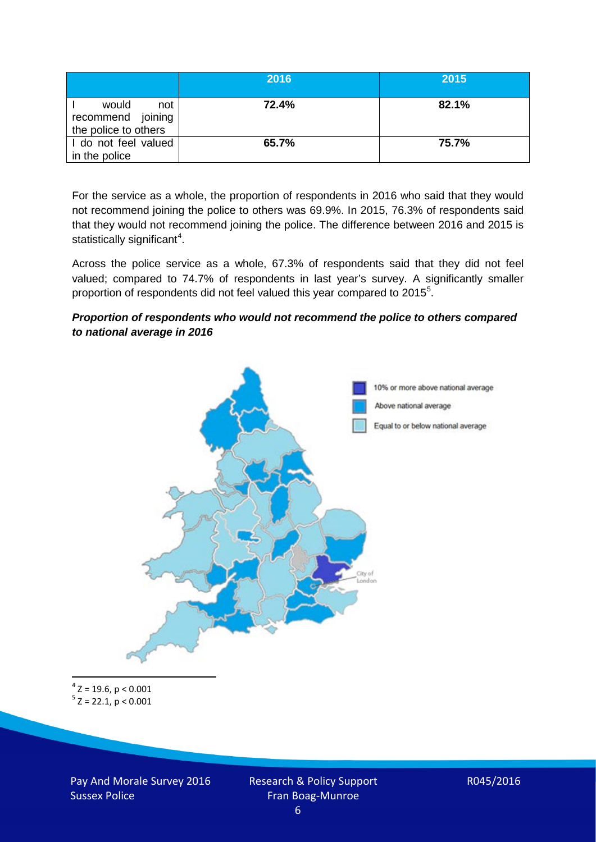|                                                           | 2016  | 2015  |
|-----------------------------------------------------------|-------|-------|
| would<br>not<br>recommend joining<br>the police to others | 72.4% | 82.1% |
| I do not feel valued<br>in the police                     | 65.7% | 75.7% |

For the service as a whole, the proportion of respondents in 2016 who said that they would not recommend joining the police to others was 69.9%. In 2015, 76.3% of respondents said that they would not recommend joining the police. The difference between 2016 and 2015 is statistically significant<sup>[4](#page-5-0)</sup>.

Across the police service as a whole, 67.3% of respondents said that they did not feel valued; compared to 74.7% of respondents in last year's survey. A significantly smaller proportion of respondents did not feel valued this year compared to 201[5](#page-5-1)<sup>5</sup>.

#### *Proportion of respondents who would not recommend the police to others compared to national average in 2016*



<span id="page-5-1"></span><span id="page-5-0"></span> $4$  Z = 19.6, p < 0.001  $5$  Z = 22.1, p < 0.001

Pay And Morale Survey 2016 Sussex Police

Research & Policy Support Fran Boag-Munroe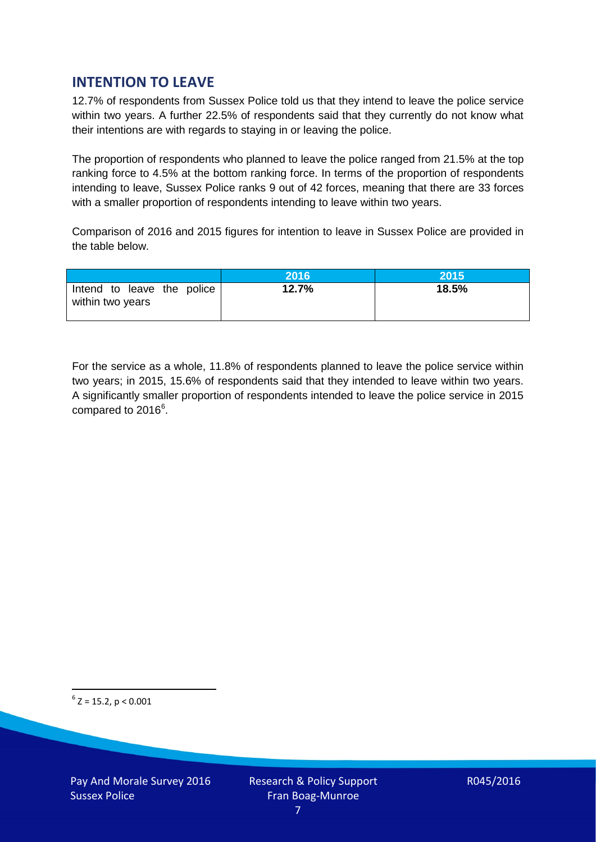# **INTENTION TO LEAVE**

12.7% of respondents from Sussex Police told us that they intend to leave the police service within two years. A further 22.5% of respondents said that they currently do not know what their intentions are with regards to staying in or leaving the police.

The proportion of respondents who planned to leave the police ranged from 21.5% at the top ranking force to 4.5% at the bottom ranking force. In terms of the proportion of respondents intending to leave, Sussex Police ranks 9 out of 42 forces, meaning that there are 33 forces with a smaller proportion of respondents intending to leave within two years.

Comparison of 2016 and 2015 figures for intention to leave in Sussex Police are provided in the table below.

|                                                | 2016  | 2015  |
|------------------------------------------------|-------|-------|
| Intend to leave the police<br>within two years | 12.7% | 18.5% |

For the service as a whole, 11.8% of respondents planned to leave the police service within two years; in 2015, 15.6% of respondents said that they intended to leave within two years. A significantly smaller proportion of respondents intended to leave the police service in 2015 compared to 201[6](#page-6-0)<sup>6</sup>.

<span id="page-6-0"></span> $6$  Z = 15.2, p < 0.001

Pay And Morale Survey 2016 Sussex Police

Research & Policy Support Fran Boag-Munroe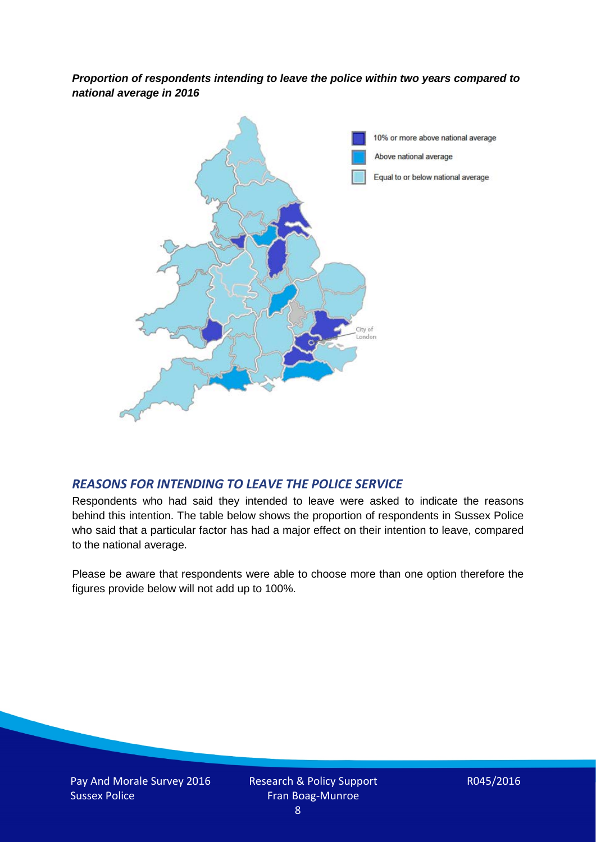*Proportion of respondents intending to leave the police within two years compared to national average in 2016*



# *REASONS FOR INTENDING TO LEAVE THE POLICE SERVICE*

Respondents who had said they intended to leave were asked to indicate the reasons behind this intention. The table below shows the proportion of respondents in Sussex Police who said that a particular factor has had a major effect on their intention to leave, compared to the national average.

Please be aware that respondents were able to choose more than one option therefore the figures provide below will not add up to 100%.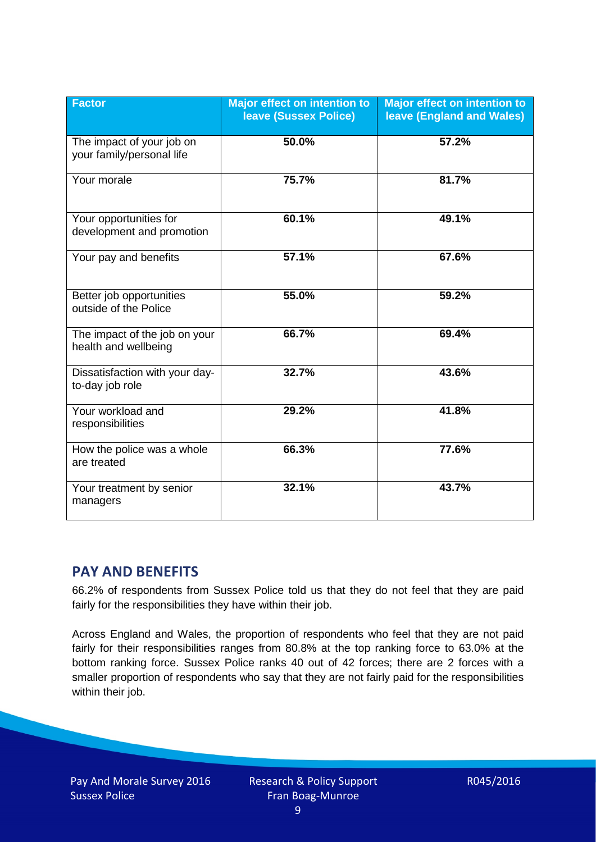| <b>Factor</b>                                          | <b>Major effect on intention to</b><br><b>leave (Sussex Police)</b> | <b>Major effect on intention to</b><br><b>leave (England and Wales)</b> |
|--------------------------------------------------------|---------------------------------------------------------------------|-------------------------------------------------------------------------|
| The impact of your job on<br>your family/personal life | 50.0%                                                               | 57.2%                                                                   |
| Your morale                                            | 75.7%                                                               | 81.7%                                                                   |
| Your opportunities for<br>development and promotion    | 60.1%                                                               | 49.1%                                                                   |
| Your pay and benefits                                  | 57.1%                                                               | 67.6%                                                                   |
| Better job opportunities<br>outside of the Police      | 55.0%                                                               | 59.2%                                                                   |
| The impact of the job on your<br>health and wellbeing  | 66.7%                                                               | 69.4%                                                                   |
| Dissatisfaction with your day-<br>to-day job role      | 32.7%                                                               | 43.6%                                                                   |
| Your workload and<br>responsibilities                  | 29.2%                                                               | 41.8%                                                                   |
| How the police was a whole<br>are treated              | 66.3%                                                               | 77.6%                                                                   |
| Your treatment by senior<br>managers                   | 32.1%                                                               | 43.7%                                                                   |

# **PAY AND BENEFITS**

66.2% of respondents from Sussex Police told us that they do not feel that they are paid fairly for the responsibilities they have within their job.

Across England and Wales, the proportion of respondents who feel that they are not paid fairly for their responsibilities ranges from 80.8% at the top ranking force to 63.0% at the bottom ranking force. Sussex Police ranks 40 out of 42 forces; there are 2 forces with a smaller proportion of respondents who say that they are not fairly paid for the responsibilities within their job.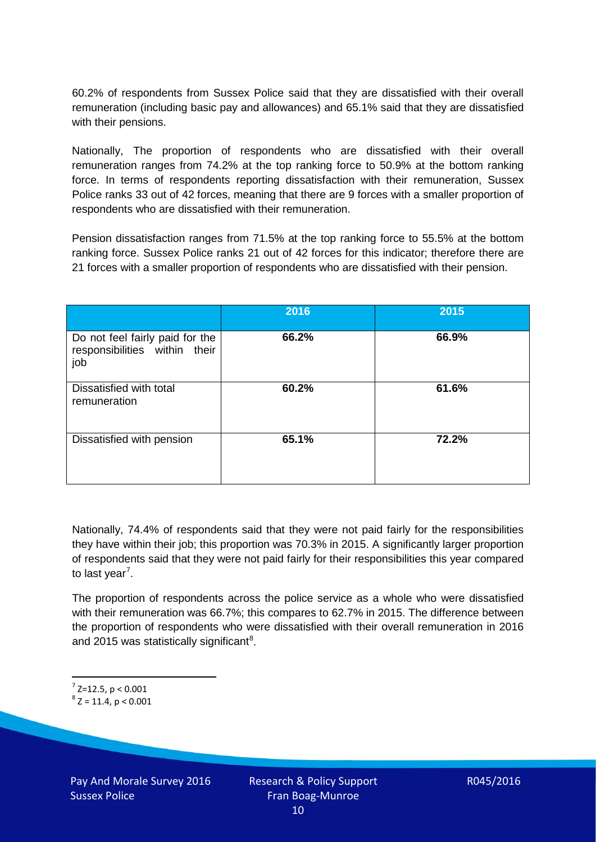60.2% of respondents from Sussex Police said that they are dissatisfied with their overall remuneration (including basic pay and allowances) and 65.1% said that they are dissatisfied with their pensions.

Nationally, The proportion of respondents who are dissatisfied with their overall remuneration ranges from 74.2% at the top ranking force to 50.9% at the bottom ranking force. In terms of respondents reporting dissatisfaction with their remuneration, Sussex Police ranks 33 out of 42 forces, meaning that there are 9 forces with a smaller proportion of respondents who are dissatisfied with their remuneration.

Pension dissatisfaction ranges from 71.5% at the top ranking force to 55.5% at the bottom ranking force. Sussex Police ranks 21 out of 42 forces for this indicator; therefore there are 21 forces with a smaller proportion of respondents who are dissatisfied with their pension.

|                                                                         | 2016  | 2015  |
|-------------------------------------------------------------------------|-------|-------|
| Do not feel fairly paid for the<br>responsibilities within their<br>job | 66.2% | 66.9% |
| Dissatisfied with total<br>remuneration                                 | 60.2% | 61.6% |
| Dissatisfied with pension                                               | 65.1% | 72.2% |

Nationally, 74.4% of respondents said that they were not paid fairly for the responsibilities they have within their job; this proportion was 70.3% in 2015. A significantly larger proportion of respondents said that they were not paid fairly for their responsibilities this year compared to last year<sup>[7](#page-9-0)</sup>.

The proportion of respondents across the police service as a whole who were dissatisfied with their remuneration was 66.7%; this compares to 62.7% in 2015. The difference between the proportion of respondents who were dissatisfied with their overall remuneration in 2016 and 2015 was statistically significant<sup>[8](#page-9-1)</sup>.

<span id="page-9-0"></span> $7$  Z=12.5, p < 0.001

<span id="page-9-1"></span> $8$  Z = 11.4, p < 0.001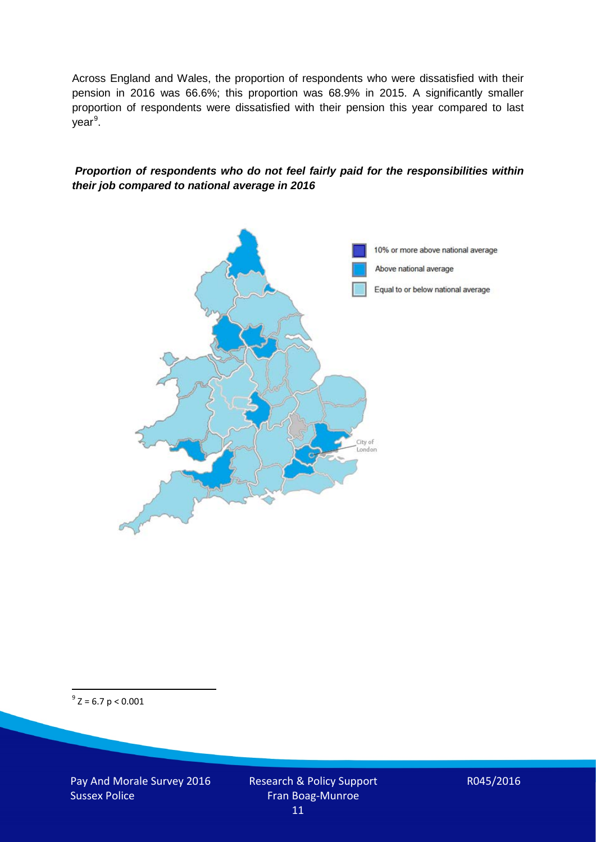Across England and Wales, the proportion of respondents who were dissatisfied with their pension in 2016 was 66.6%; this proportion was 68.9% in 2015. A significantly smaller proportion of respondents were dissatisfied with their pension this year compared to last year<sup>[9](#page-10-0)</sup>.

#### *Proportion of respondents who do not feel fairly paid for the responsibilities within their job compared to national average in 2016*



<span id="page-10-0"></span> $9^9$  Z = 6.7 p < 0.001